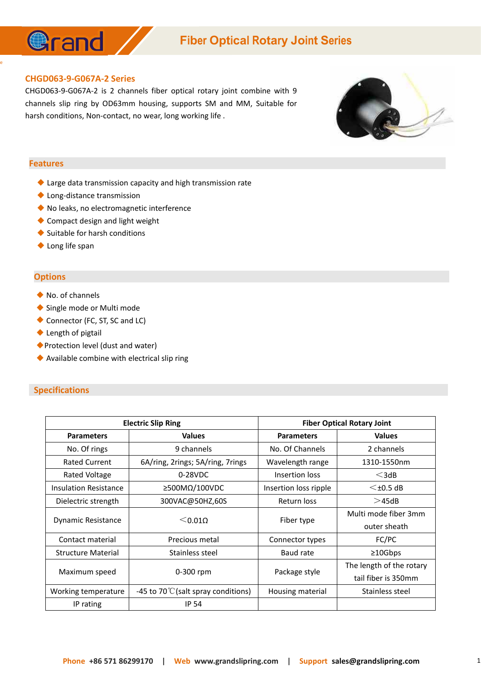

## **Fiber Optical Rotary Joint Series**

#### **CHGD063-9-G067A-2 Series**

CHGD063-9-G067A-2 is 2 channels fiber optical rotary joint combine with 9 channels slip ring by OD63mm housing, supports SM and MM, Suitable for harsh conditions, Non-contact, no wear, long working life .



#### **Features**

e and the state of the state of the state of the state of the state of the state of the state of the state of the state of the state of the state of the state of the state of the state of the state of the state of the stat

- ◆ Large data transmission capacity and high transmission rate
- ◆ Long-distance transmission
- ◆ No leaks, no electromagnetic interference
- ◆ Compact design and light weight
- ◆ Suitable for harsh conditions
- ◆ Long life span

#### **Options**

- ◆ No. of channels
- ◆ Single mode or Multi mode
- ◆ Connector (FC, ST, SC and LC)
- ◆ Length of pigtail
- ◆Protection level (dust and water)
- ◆ Available combine with electrical slip ring

#### **Specifications**

| <b>Electric Slip Ring</b> |                                               | <b>Fiber Optical Rotary Joint</b> |                          |
|---------------------------|-----------------------------------------------|-----------------------------------|--------------------------|
| <b>Parameters</b>         | <b>Values</b>                                 | <b>Parameters</b>                 | <b>Values</b>            |
| No. Of rings              | 9 channels                                    | No. Of Channels                   | 2 channels               |
| <b>Rated Current</b>      | 6A/ring, 2rings; 5A/ring, 7rings              | Wavelength range                  | 1310-1550nm              |
| Rated Voltage             | 0-28VDC                                       | Insertion loss                    | $<$ 3dB                  |
| Insulation Resistance     | $\geq$ 500M $\Omega/100$ VDC                  | Insertion loss ripple             | $\leq$ ±0.5 dB           |
| Dielectric strength       | 300VAC@50HZ,60S                               | Return loss                       | >45dB                    |
| Dynamic Resistance        | $<$ 0.010                                     | Fiber type                        | Multi mode fiber 3mm     |
|                           |                                               |                                   | outer sheath             |
| Contact material          | Precious metal                                | Connector types                   | FC/PC                    |
| <b>Structure Material</b> | Stainless steel                               | Baud rate                         | ≥10Gbps                  |
| Maximum speed             | 0-300 rpm                                     | Package style                     | The length of the rotary |
|                           |                                               |                                   | tail fiber is 350mm      |
| Working temperature       | -45 to 70 $\degree$ C (salt spray conditions) | Housing material                  | Stainless steel          |
| IP rating                 | <b>IP 54</b>                                  |                                   |                          |